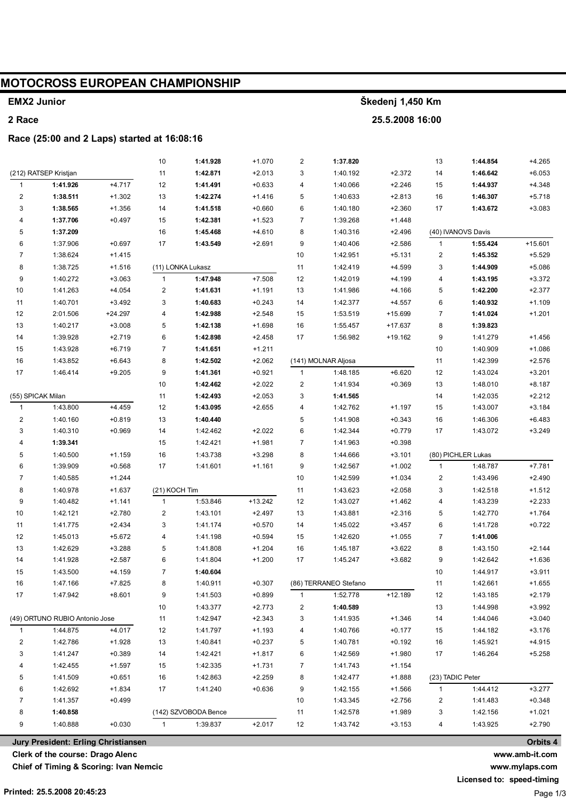# **MOTOCROSS EUROPEAN CHAMPIONSHIP**

## **EMX2 Junior**

## **2 Race**

#### **Race (25:00 and 2 Laps) started at 16:08:16**

|                         |                                |           | 10                      | 1:41.928                         | $+1.070$  | $\overline{c}$ | 1:37.820              |                      | 13               | 1:44.854             | $+4.265$             |
|-------------------------|--------------------------------|-----------|-------------------------|----------------------------------|-----------|----------------|-----------------------|----------------------|------------------|----------------------|----------------------|
|                         | (212) RATSEP Kristjan          |           | 11                      | 1:42.871                         | $+2.013$  | 3              | 1:40.192              | $+2.372$             | 14               | 1:46.642             | $+6.053$             |
| $\mathbf{1}$            | 1:41.926                       | $+4.717$  | 12                      | 1:41.491                         | $+0.633$  | 4              | 1:40.066              | $+2.246$             | 15               | 1:44.937             | $+4.348$             |
| $\overline{\mathbf{c}}$ | 1:38.511                       | $+1.302$  | 13                      | 1:42.274                         | $+1.416$  | 5              | 1:40.633              | $+2.813$             | 16               | 1:46.307             | $+5.718$             |
| 3                       | 1:38.565                       | $+1.356$  | 14                      | 1:41.518                         | $+0.660$  | 6              | 1:40.180              | $+2.360$             | 17               | 1:43.672             | $+3.083$             |
| 4                       | 1:37.706                       | $+0.497$  | 15                      | 1:42.381                         | $+1.523$  | $\overline{7}$ | 1:39.268              | $+1.448$             |                  |                      |                      |
| 5                       | 1:37.209                       |           | 16                      | 1:45.468                         | $+4.610$  | 8              | 1:40.316              | $+2.496$             |                  | (40) IVANOVS Davis   |                      |
| 6                       | 1:37.906                       | $+0.697$  | 17                      | 1:43.549                         | $+2.691$  | 9              | 1:40.406              | $+2.586$             | $\mathbf{1}$     | 1:55.424             | $+15.601$            |
| $\overline{7}$          | 1:38.624                       | $+1.415$  |                         |                                  |           | $10$           | 1:42.951              | $+5.131$             | $\boldsymbol{2}$ | 1:45.352             | $+5.529$             |
| 8                       | 1:38.725                       | $+1.516$  |                         | (11) LONKA Lukasz                |           | 11             | 1:42.419              | $+4.599$             | 3                | 1:44.909             | $+5.086$             |
| $\boldsymbol{9}$        | 1:40.272                       | $+3.063$  | $\mathbf{1}$            | 1:47.948                         | $+7.508$  | 12             | 1:42.019              | $+4.199$             | 4                | 1:43.195             | $+3.372$             |
| 10                      | 1:41.263                       | $+4.054$  | $\sqrt{2}$              | 1:41.631                         | $+1.191$  | 13             | 1:41.986              | +4.166               | 5                | 1:42.200             | $+2.377$             |
| 11                      | 1:40.701                       | $+3.492$  | 3                       | 1:40.683                         | $+0.243$  | 14             | 1:42.377              | $+4.557$             | 6                | 1:40.932             | $+1.109$             |
| 12                      | 2:01.506                       | $+24.297$ | $\overline{\mathbf{4}}$ | 1:42.988                         | $+2.548$  | 15             | 1:53.519              | $+15.699$            | $\overline{7}$   | 1:41.024             | $+1.201$             |
| 13                      | 1:40.217                       | $+3.008$  | 5                       | 1:42.138                         | $+1.698$  | $16\,$         | 1:55.457              | +17.637              | 8                | 1:39.823             |                      |
| 14                      | 1:39.928                       | $+2.719$  | $\,6\,$                 | 1:42.898                         | $+2.458$  | 17             | 1:56.982              | $+19.162$            | 9                | 1:41.279             | $+1.456$             |
| 15                      | 1:43.928                       | $+6.719$  | $\overline{7}$          | 1:41.651                         | $+1.211$  |                |                       |                      | $10$             | 1:40.909             | $+1.086$             |
| 16                      | 1:43.852                       | $+6.643$  | 8                       | 1:42.502                         | $+2.062$  |                | (141) MOLNAR Aljosa   |                      | 11               | 1:42.399             | $+2.576$             |
| 17                      | 1:46.414                       | $+9.205$  | 9                       | 1:41.361                         | $+0.921$  | $\mathbf{1}$   | 1:48.185              | $+6.620$             | 12               | 1:43.024             | $+3.201$             |
|                         |                                |           | 10                      | 1:42.462                         | $+2.022$  | 2              | 1:41.934              | $+0.369$             | 13               | 1:48.010             | $+8.187$             |
|                         | (55) SPICAK Milan              |           | 11                      | 1:42.493                         | $+2.053$  | 3              | 1:41.565              |                      | 14               | 1:42.035             | $+2.212$             |
| $\mathbf{1}$            | 1:43.800                       | $+4.459$  | 12                      | 1:43.095                         | $+2.655$  | 4              | 1:42.762              | $+1.197$             | 15               | 1:43.007             | $+3.184$             |
| $\overline{c}$          | 1:40.160                       | $+0.819$  | 13                      | 1:40.440                         |           | 5              | 1:41.908              | $+0.343$             | 16               | 1:46.306             | $+6.483$             |
| 3                       | 1:40.310                       | $+0.969$  | 14                      | 1:42.462                         | $+2.022$  | 6              | 1:42.344              | $+0.779$             | 17               | 1:43.072             | $+3.249$             |
| 4                       | 1:39.341                       |           | 15                      | 1:42.421                         | $+1.981$  | $\overline{7}$ | 1:41.963              | $+0.398$             |                  |                      |                      |
| $\overline{5}$          | 1:40.500                       | $+1.159$  | 16                      | 1:43.738                         | $+3.298$  | 8              | 1:44.666              | $+3.101$             |                  | (80) PICHLER Lukas   |                      |
| 6                       | 1:39.909                       | $+0.568$  | 17                      | 1:41.601                         | $+1.161$  | 9              | 1:42.567              | $+1.002$             | $\mathbf{1}$     | 1:48.787             | $+7.781$             |
| $\overline{7}$          | 1:40.585                       | $+1.244$  |                         |                                  |           | $10$           | 1:42.599              | $+1.034$             | $\boldsymbol{2}$ | 1:43.496             | $+2.490$             |
| 8                       | 1:40.978                       | $+1.637$  | (21) KOCH Tim           |                                  |           | 11             | 1:43.623              | $+2.058$             | 3                | 1:42.518             | $+1.512$             |
| 9                       | 1:40.482                       | $+1.141$  | $\mathbf{1}$            | 1:53.846                         | $+13.242$ | 12             | 1:43.027              | $+1.462$             | 4                | 1:43.239             | $+2.233$             |
| 10                      | 1:42.121                       | $+2.780$  | $\sqrt{2}$              | 1:43.101                         | $+2.497$  | 13             | 1:43.881              | $+2.316$             | 5                | 1:42.770             | $+1.764$             |
| 11                      | 1:41.775                       |           |                         |                                  |           |                |                       |                      |                  |                      |                      |
| 12                      |                                | $+2.434$  | 3                       | 1:41.174                         | $+0.570$  | 14             | 1:45.022              | $+3.457$             | 6                | 1:41.728             | $+0.722$             |
|                         | 1:45.013                       | $+5.672$  | $\overline{\mathbf{4}}$ | 1:41.198                         | $+0.594$  | 15             | 1:42.620              | $+1.055$             | $\overline{7}$   | 1:41.006             |                      |
| 13                      | 1:42.629                       | $+3.288$  | 5                       | 1:41.808                         | $+1.204$  | 16             | 1:45.187              | $+3.622$             | 8                | 1:43.150             | $+2.144$             |
| 14                      | 1:41.928                       | $+2.587$  | 6                       | 1:41.804                         | $+1.200$  | 17             | 1:45.247              | $+3.682$             | 9                | 1:42.642             | $+1.636$             |
| 15                      | 1:43.500                       | $+4.159$  | $\overline{7}$          | 1:40.604                         |           |                |                       |                      | 10               | 1:44.917             | $+3.911$             |
| 16                      | 1:47.166                       | +7.825    | 8                       | 1:40.911                         | $+0.307$  |                | (86) TERRANEO Stefano |                      | 11               | 1:42.661             | $+1.655$             |
| 17                      | 1:47.942                       | $+8.601$  | 9                       | 1:41.503                         | $+0.899$  | $\mathbf{1}$   | 1:52.778              | $+12.189$            | 12               | 1:43.185             | $+2.179$             |
|                         |                                |           | $10$                    | 1:43.377                         | $+2.773$  | 2              | 1:40.589              |                      | 13               | 1:44.998             | $+3.992$             |
|                         | (49) ORTUNO RUBIO Antonio Jose |           | 11                      | 1:42.947                         | $+2.343$  | 3              | 1:41.935              | $+1.346$             | 14               | 1:44.046             | $+3.040$             |
| $\mathbf{1}$            | 1:44.875                       | $+4.017$  | 12                      | 1:41.797                         | $+1.193$  | 4              | 1:40.766              | $+0.177$             | 15               | 1:44.182             | $+3.176$             |
| 2                       | 1:42.786                       | $+1.928$  | 13                      | 1:40.841                         | $+0.237$  | 5              | 1:40.781              | $+0.192$             | 16               | 1:45.921             | $+4.915$             |
| 3                       | 1:41.247                       | $+0.389$  | 14                      | 1:42.421                         | $+1.817$  | 6              | 1:42.569              | $+1.980$             | 17               | 1:46.264             | $+5.258$             |
| 4                       | 1:42.455                       | $+1.597$  | 15                      | 1:42.335                         | $+1.731$  | 7              | 1:41.743              | $+1.154$             |                  |                      |                      |
| 5                       | 1:41.509                       | $+0.651$  | 16                      | 1:42.863                         | $+2.259$  | 8              | 1:42.477              | $+1.888$             | (23) TADIC Peter |                      |                      |
| 6                       | 1:42.692                       | $+1.834$  | 17                      | 1:41.240                         | $+0.636$  | 9              | 1:42.155              | $+1.566$             | $\mathbf{1}$     | 1:44.412             | $+3.277$             |
| $\overline{7}$          | 1:41.357                       | $+0.499$  |                         |                                  |           | 10             | 1:43.345              | $+2.756$             | 2                | 1:41.483             | $+0.348$             |
| 8<br>9                  | 1:40.858<br>1:40.888           | $+0.030$  | $\mathbf{1}$            | (142) SZVOBODA Bence<br>1:39.837 | $+2.017$  | 11<br>12       | 1:42.578<br>1:43.742  | $+1.989$<br>$+3.153$ | 3<br>4           | 1:42.156<br>1:43.925 | $+1.021$<br>$+2.790$ |

**Škedenj 1,450 Km**

**25.5.2008 16:00**

**Jury President: Erling Christiansen**

**Clerk of the course: Drago Alenc**

**Chief of Timing & Scoring: Ivan Nemcic**

**Printed: 25.5.2008 20:45:23**

**Orbits 4**

**www.amb-it.com**

**www.mylaps.com Licensed to: speed-timing**

Page 1/3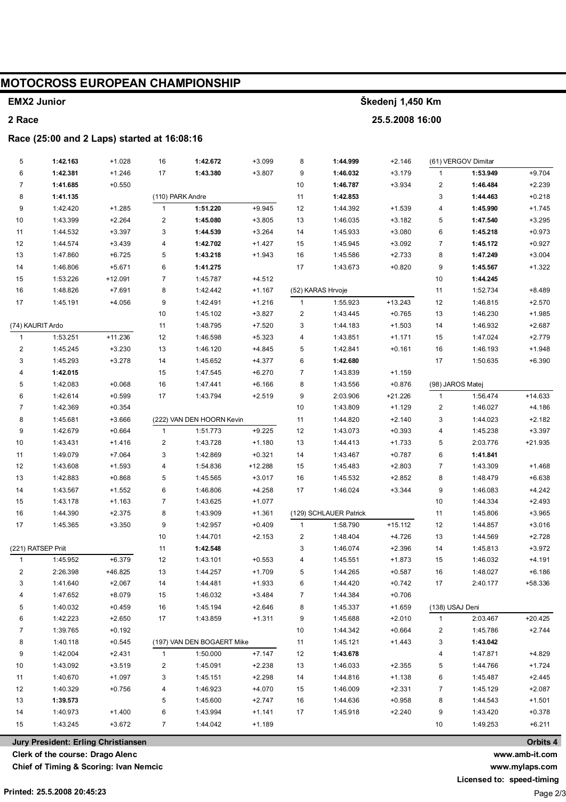# **MOTOCROSS EUROPEAN CHAMPIONSHIP**

#### **EMX2 Junior**

#### 2 Race

#### Race (25:00 and 2 Laps) started at 16:08:16

| (61) VERGOV Dimitar<br>5<br>1:42.163<br>$+1.028$<br>$+3.099$<br>8<br>1:44.999<br>$+2.146$<br>16<br>1:42.672                 |           |
|-----------------------------------------------------------------------------------------------------------------------------|-----------|
| 6<br>1:42.381<br>17<br>9<br>$+3.179$<br>1:53.949<br>$+1.246$<br>1:43.380<br>$+3.807$<br>1:46.032<br>$\mathbf{1}$            | $+9.704$  |
| $\overline{7}$<br>10<br>2<br>1:41.685<br>$+0.550$<br>1:46.787<br>$+3.934$<br>1:46.484                                       | $+2.239$  |
| 8<br>(110) PARK Andre<br>11<br>3<br>1:41.135<br>1:42.853<br>1:44.463                                                        | $+0.218$  |
| 9<br>1:51.220<br>$+9.945$<br>12<br>1:42.420<br>$+1.285$<br>$\mathbf{1}$<br>1:44.392<br>$+1.539$<br>4<br>1:45.990            | $+1.745$  |
| $\sqrt{2}$<br>10<br>5<br>1:43.399<br>$+2.264$<br>1:45.080<br>$+3.805$<br>13<br>1:46.035<br>$+3.182$<br>1:47.540             | $+3.295$  |
| 3<br>11<br>6<br>1:44.532<br>$+3.397$<br>1:44.539<br>$+3.264$<br>14<br>1:45.933<br>$+3.080$<br>1:45.218                      | $+0.973$  |
| 12<br>1:44.574<br>4<br>1:42.702<br>$+1.427$<br>15<br>1:45.945<br>$+3.092$<br>$\overline{7}$<br>1:45.172<br>$+3.439$         | $+0.927$  |
| 13<br>1:47.860<br>$+6.725$<br>5<br>1:43.218<br>16<br>1:45.586<br>$+2.733$<br>8<br>1:47.249<br>$+1.943$                      | $+3.004$  |
| 14<br>1:46.806<br>$+5.671$<br>6<br>1:41.275<br>17<br>1:43.673<br>$+0.820$<br>9<br>1:45.567                                  | $+1.322$  |
| 15<br>1:53.226<br>$\overline{7}$<br>$10$<br>$+12.091$<br>1:45.787<br>$+4.512$<br>1:44.245                                   |           |
| 16<br>8<br>1:48.826<br>$+7.691$<br>1:42.442<br>$+1.167$<br>(52) KARAS Hrvoje<br>11<br>1:52.734                              | $+8.489$  |
| 17<br>$+4.056$<br>9<br>1:42.491<br>$+1.216$<br>$\mathbf{1}$<br>1:55.923<br>$+13.243$<br>12<br>1:45.191<br>1:46.815          | $+2.570$  |
| 10<br>1:45.102<br>$+3.827$<br>2<br>1:43.445<br>$+0.765$<br>13<br>1:46.230                                                   | $+1.985$  |
| 11<br>$+7.520$<br>3<br>$+1.503$<br>(74) KAURIT Ardo<br>1:48.795<br>1:44.183<br>14<br>1:46.932                               | $+2.687$  |
| $\mathbf{1}$<br>1:53.251<br>$+11.236$<br>12<br>1:46.598<br>$+5.323$<br>4<br>1:43.851<br>$+1.171$<br>15<br>1:47.024          | $+2.779$  |
| $+3.230$<br>13<br>5<br>2<br>1:45.245<br>1:46.120<br>$+4.845$<br>1:42.841<br>$+0.161$<br>16<br>1:46.193                      | $+1.948$  |
| 3<br>1:45.293<br>$+3.278$<br>14<br>6<br>1:42.680<br>17<br>1:45.652<br>$+4.377$<br>1:50.635                                  | $+6.390$  |
| 4<br>1:42.015<br>15<br>$+6.270$<br>7<br>1:43.839<br>1:47.545<br>$+1.159$                                                    |           |
| 5<br>$+0.068$<br>16<br>8<br>$+0.876$<br>(98) JAROS Matej<br>1:42.083<br>$+6.166$<br>1:43.556<br>1:47.441                    |           |
| 6<br>17<br>9<br>1:42.614<br>$+0.599$<br>1:43.794<br>$+2.519$<br>2:03.906<br>+21.226<br>$\mathbf{1}$<br>1:56.474             | $+14.633$ |
| $\overline{7}$<br>10<br>$\overline{\mathbf{c}}$<br>1:42.369<br>$+0.354$<br>1:43.809<br>$+1.129$<br>1:46.027                 | $+4.186$  |
| 8<br>(222) VAN DEN HOORN Kevin<br>11<br>3<br>1:45.681<br>$+3.666$<br>1:44.820<br>$+2.140$<br>1:44.023                       | $+2.182$  |
| $+9.225$<br>9<br>$\mathbf{1}$<br>12<br>1:42.679<br>$+0.664$<br>1:51.773<br>1:43.073<br>$+0.393$<br>4<br>1:45.238            | $+3.397$  |
| $\boldsymbol{2}$<br>10<br>13<br>5<br>1:43.431<br>1:43.728<br>$+1.180$<br>2:03.776<br>$+1.416$<br>1:44.413<br>$+1.733$       | +21.935   |
| 3<br>11<br>6<br>1:49.079<br>$+7.064$<br>1:42.869<br>$+0.321$<br>14<br>1:43.467<br>$+0.787$<br>1:41.841                      |           |
| 12<br>4<br>15<br>$\overline{7}$<br>1:43.608<br>$+1.593$<br>+12.288<br>1:45.483<br>$+2.803$<br>1:43.309<br>1:54.836          | $+1.468$  |
| 13<br>1:42.883<br>5<br>$+3.017$<br>16<br>$+2.852$<br>8<br>$+0.868$<br>1:45.565<br>1:45.532<br>1:48.479                      | $+6.638$  |
| 6<br>9<br>14<br>1:43.567<br>$+4.258$<br>17<br>$+1.552$<br>1:46.806<br>1:46.024<br>$+3.344$<br>1:46.083                      | $+4.242$  |
| 15<br>$\overline{7}$<br>10<br>1:43.178<br>$+1.163$<br>1:43.625<br>$+1.077$<br>1:44.334                                      | $+2.493$  |
| 16<br>8<br>(129) SCHLAUER Patrick<br>1:44.390<br>$+2.375$<br>1:43.909<br>$+1.361$<br>11<br>1:45.806                         | $+3.965$  |
| 17<br>9<br>$+15.112$<br>1:45.365<br>$+3.350$<br>1:42.957<br>$+0.409$<br>$\mathbf{1}$<br>1:58.790<br>12<br>1:44.857          | $+3.016$  |
| 10<br>2<br>1:48.404<br>$+4.726$<br>13<br>1:44.701<br>$+2.153$<br>1:44.569                                                   | $+2.728$  |
| (221) RATSEP Priit<br>3<br>$+2.396$<br>11<br>1:42.548<br>1:46.074<br>14<br>1:45.813                                         | $+3.972$  |
| $\mathbf{1}$<br>1:45.952<br>$+6.379$<br>12<br>1:43.101<br>$+0.553$<br>1:45.551<br>$+1.873$<br>15<br>1:46.032<br>4           | $+4.191$  |
| $\overline{\mathbf{c}}$<br>2:26.398<br>+46.825<br>13<br>$+1.709$<br>5<br>$+0.587$<br>16<br>1:44.257<br>1:44.265<br>1:48.027 | $+6.186$  |
| $+2.067$<br>$+1.933$<br>1:44.420<br>$+0.742$<br>2:40.177<br>3<br>1:41.640<br>14<br>1:44.481<br>6<br>17                      | +58.336   |
| 1:47.652<br>$+8.079$<br>15<br>1:46.032<br>$+3.484$<br>1:44.384<br>$+0.706$<br>4<br>7                                        |           |
| 5<br>1:40.032<br>$+0.459$<br>16<br>1:45.194<br>$+2.646$<br>8<br>1:45.337<br>$+1.659$<br>(138) USAJ Deni                     |           |
| 2:03.467<br>6<br>1:42.223<br>$+2.650$<br>17<br>$+1.311$<br>$+2.010$<br>1:43.859<br>9<br>1:45.688<br>$\mathbf{1}$            | $+20.425$ |
| 7<br>1:39.765<br>$+0.192$<br>10<br>1:44.342<br>$+0.664$<br>2<br>1:45.786                                                    | $+2.744$  |
| 8<br>1:40.118<br>$+0.545$<br>(197) VAN DEN BOGAERT Mike<br>11<br>3<br>1:43.042<br>1:45.121<br>$+1.443$                      |           |
| 9<br>$+7.147$<br>1:42.004<br>$+2.431$<br>1:50.000<br>12<br>4<br>1<br>1:43.678<br>1:47.871                                   | +4.829    |
| 5<br>10<br>1:43.092<br>2<br>$+2.238$<br>13<br>$+3.519$<br>1:45.091<br>1:46.033<br>$+2.355$<br>1:44.766                      | $+1.724$  |
| 3<br>6<br>11<br>$+2.298$<br>1:40.670<br>+1.097<br>1:45.151<br>14<br>1:44.816<br>+1.138<br>1:45.487                          | $+2.445$  |
| 12<br>1:40.329<br>$+0.756$<br>4<br>1:46.923<br>$+4.070$<br>15<br>1:46.009<br>$+2.331$<br>7<br>1:45.129                      | $+2.087$  |
| 13<br>1:39.573<br>5<br>1:45.600<br>$+2.747$<br>16<br>1:44.636<br>$+0.958$<br>8<br>1:44.543                                  | $+1.501$  |
| 9<br>14<br>1:40.973<br>$+1.400$<br>6<br>1:43.994<br>$+1.141$<br>17<br>1:45.918<br>$+2.240$<br>1:43.420                      | $+0.378$  |
| 15<br>1:43.245<br>$+3.672$<br>$\overline{7}$<br>$+1.189$<br>10<br>1:49.253<br>1:44.042                                      | $+6.211$  |
|                                                                                                                             |           |

Clerk of the course: Drago Alenc

Chief of Timing & Scoring: Ivan Nemcic

Printed: 25.5.2008 20:45:23

www.mylaps.com

www.amb-it.com

Licensed to: speed-timing

Škedenj 1,450 Km

25.5.2008 16:00